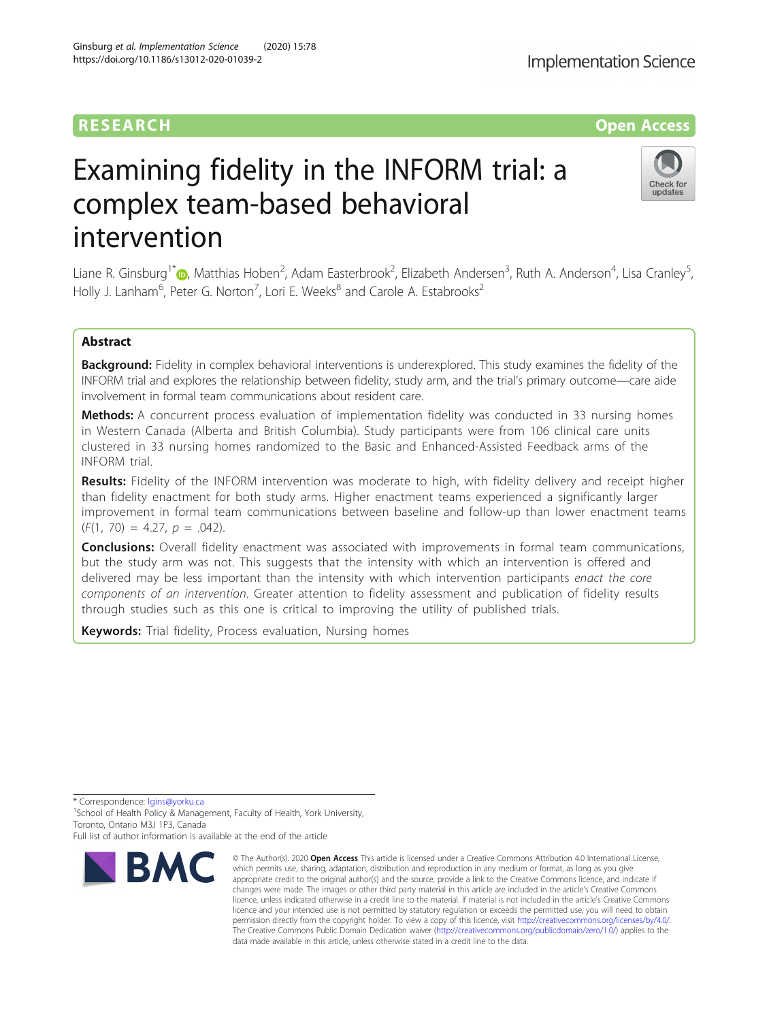Ginsburg et al. Implementation Science (2020) 15:78

https://doi.org/10.1186/s13012-020-01039-2

Check for updates

,

# Examining fidelity in the INFORM trial: a complex team-based behavioral intervention

Liane R. Ginsburg<sup>1\*</sup>®, Matthias Hoben<sup>2</sup>, Adam Easterbrook<sup>2</sup>, Elizabeth Andersen<sup>3</sup>, Ruth A. Anderson<sup>4</sup>, Lisa Cranley<sup>5</sup> Holly J. Lanham<sup>6</sup>, Peter G. Norton<sup>7</sup>, Lori E. Weeks<sup>8</sup> and Carole A. Estabrooks<sup>2</sup>

## Abstract

Background: Fidelity in complex behavioral interventions is underexplored. This study examines the fidelity of the INFORM trial and explores the relationship between fidelity, study arm, and the trial's primary outcome—care aide involvement in formal team communications about resident care.

Methods: A concurrent process evaluation of implementation fidelity was conducted in 33 nursing homes in Western Canada (Alberta and British Columbia). Study participants were from 106 clinical care units clustered in 33 nursing homes randomized to the Basic and Enhanced-Assisted Feedback arms of the INFORM trial.

Results: Fidelity of the INFORM intervention was moderate to high, with fidelity delivery and receipt higher than fidelity enactment for both study arms. Higher enactment teams experienced a significantly larger improvement in formal team communications between baseline and follow-up than lower enactment teams  $(F(1, 70) = 4.27, p = .042).$ 

**Conclusions:** Overall fidelity enactment was associated with improvements in formal team communications, but the study arm was not. This suggests that the intensity with which an intervention is offered and delivered may be less important than the intensity with which intervention participants enact the core components of an intervention. Greater attention to fidelity assessment and publication of fidelity results through studies such as this one is critical to improving the utility of published trials.

Keywords: Trial fidelity, Process evaluation, Nursing homes

\* Correspondence: [lgins@yorku.ca](mailto:lgins@yorku.ca) <sup>1</sup>

<sup>1</sup>School of Health Policy & Management, Faculty of Health, York University, Toronto, Ontario M3J 1P3, Canada

Full list of author information is available at the end of the article



<sup>©</sup> The Author(s), 2020 **Open Access** This article is licensed under a Creative Commons Attribution 4.0 International License, which permits use, sharing, adaptation, distribution and reproduction in any medium or format, as long as you give appropriate credit to the original author(s) and the source, provide a link to the Creative Commons licence, and indicate if changes were made. The images or other third party material in this article are included in the article's Creative Commons licence, unless indicated otherwise in a credit line to the material. If material is not included in the article's Creative Commons licence and your intended use is not permitted by statutory regulation or exceeds the permitted use, you will need to obtain permission directly from the copyright holder. To view a copy of this licence, visit [http://creativecommons.org/licenses/by/4.0/.](http://creativecommons.org/licenses/by/4.0/) The Creative Commons Public Domain Dedication waiver [\(http://creativecommons.org/publicdomain/zero/1.0/](http://creativecommons.org/publicdomain/zero/1.0/)) applies to the data made available in this article, unless otherwise stated in a credit line to the data.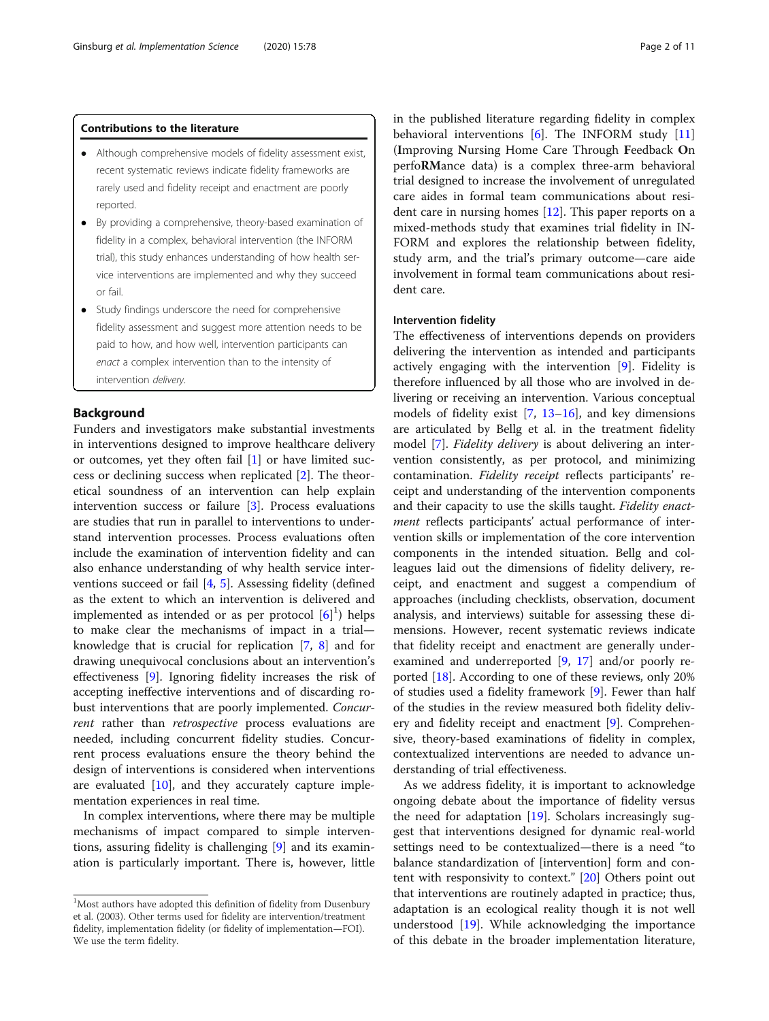#### Contributions to the literature

- Although comprehensive models of fidelity assessment exist, recent systematic reviews indicate fidelity frameworks are rarely used and fidelity receipt and enactment are poorly reported.
- By providing a comprehensive, theory-based examination of fidelity in a complex, behavioral intervention (the INFORM trial), this study enhances understanding of how health service interventions are implemented and why they succeed or fail.
- Study findings underscore the need for comprehensive fidelity assessment and suggest more attention needs to be paid to how, and how well, intervention participants can enact a complex intervention than to the intensity of intervention delivery.

#### Background

Funders and investigators make substantial investments in interventions designed to improve healthcare delivery or outcomes, yet they often fail [[1\]](#page-9-0) or have limited success or declining success when replicated [[2\]](#page-9-0). The theoretical soundness of an intervention can help explain intervention success or failure [\[3\]](#page-9-0). Process evaluations are studies that run in parallel to interventions to understand intervention processes. Process evaluations often include the examination of intervention fidelity and can also enhance understanding of why health service interventions succeed or fail [\[4](#page-9-0), [5](#page-9-0)]. Assessing fidelity (defined as the extent to which an intervention is delivered and implemented as intended or as per protocol [\[6](#page-9-0)]<sup>1</sup>) helps to make clear the mechanisms of impact in a trial knowledge that is crucial for replication [\[7](#page-9-0), [8\]](#page-9-0) and for drawing unequivocal conclusions about an intervention's effectiveness [[9\]](#page-9-0). Ignoring fidelity increases the risk of accepting ineffective interventions and of discarding robust interventions that are poorly implemented. Concurrent rather than retrospective process evaluations are needed, including concurrent fidelity studies. Concurrent process evaluations ensure the theory behind the design of interventions is considered when interventions are evaluated [\[10](#page-9-0)], and they accurately capture implementation experiences in real time.

In complex interventions, where there may be multiple mechanisms of impact compared to simple interventions, assuring fidelity is challenging [[9\]](#page-9-0) and its examination is particularly important. There is, however, little in the published literature regarding fidelity in complex behavioral interventions  $[6]$  $[6]$ . The INFORM study  $[11]$  $[11]$  $[11]$ (Improving Nursing Home Care Through Feedback On perfoRMance data) is a complex three-arm behavioral trial designed to increase the involvement of unregulated care aides in formal team communications about resident care in nursing homes [\[12](#page-9-0)]. This paper reports on a mixed-methods study that examines trial fidelity in IN-FORM and explores the relationship between fidelity, study arm, and the trial's primary outcome—care aide involvement in formal team communications about resident care.

#### Intervention fidelity

The effectiveness of interventions depends on providers delivering the intervention as intended and participants actively engaging with the intervention [\[9](#page-9-0)]. Fidelity is therefore influenced by all those who are involved in delivering or receiving an intervention. Various conceptual models of fidelity exist [[7](#page-9-0), [13](#page-9-0)–[16](#page-9-0)], and key dimensions are articulated by Bellg et al. in the treatment fidelity model [\[7](#page-9-0)]. Fidelity delivery is about delivering an intervention consistently, as per protocol, and minimizing contamination. Fidelity receipt reflects participants' receipt and understanding of the intervention components and their capacity to use the skills taught. Fidelity enactment reflects participants' actual performance of intervention skills or implementation of the core intervention components in the intended situation. Bellg and colleagues laid out the dimensions of fidelity delivery, receipt, and enactment and suggest a compendium of approaches (including checklists, observation, document analysis, and interviews) suitable for assessing these dimensions. However, recent systematic reviews indicate that fidelity receipt and enactment are generally underexamined and underreported [[9,](#page-9-0) [17](#page-9-0)] and/or poorly reported [[18\]](#page-9-0). According to one of these reviews, only 20% of studies used a fidelity framework [[9\]](#page-9-0). Fewer than half of the studies in the review measured both fidelity delivery and fidelity receipt and enactment [\[9](#page-9-0)]. Comprehensive, theory-based examinations of fidelity in complex, contextualized interventions are needed to advance understanding of trial effectiveness.

As we address fidelity, it is important to acknowledge ongoing debate about the importance of fidelity versus the need for adaptation [\[19](#page-9-0)]. Scholars increasingly suggest that interventions designed for dynamic real-world settings need to be contextualized—there is a need "to balance standardization of [intervention] form and content with responsivity to context." [\[20\]](#page-9-0) Others point out that interventions are routinely adapted in practice; thus, adaptation is an ecological reality though it is not well understood [\[19](#page-9-0)]. While acknowledging the importance of this debate in the broader implementation literature,

<sup>&</sup>lt;sup>1</sup>Most authors have adopted this definition of fidelity from Dusenbury et al. (2003). Other terms used for fidelity are intervention/treatment fidelity, implementation fidelity (or fidelity of implementation—FOI). We use the term fidelity.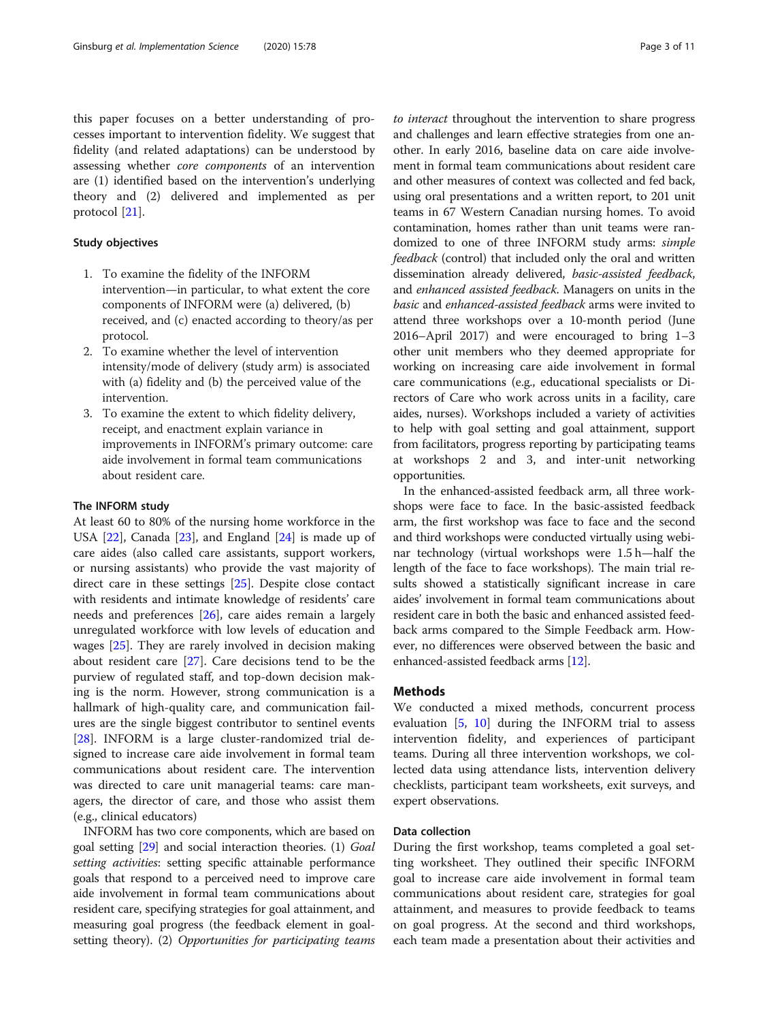this paper focuses on a better understanding of processes important to intervention fidelity. We suggest that fidelity (and related adaptations) can be understood by assessing whether core components of an intervention are (1) identified based on the intervention's underlying theory and (2) delivered and implemented as per protocol [\[21\]](#page-9-0).

#### Study objectives

- 1. To examine the fidelity of the INFORM intervention—in particular, to what extent the core components of INFORM were (a) delivered, (b) received, and (c) enacted according to theory/as per protocol.
- 2. To examine whether the level of intervention intensity/mode of delivery (study arm) is associated with (a) fidelity and (b) the perceived value of the intervention.
- 3. To examine the extent to which fidelity delivery, receipt, and enactment explain variance in improvements in INFORM's primary outcome: care aide involvement in formal team communications about resident care.

## The INFORM study

At least 60 to 80% of the nursing home workforce in the USA  $[22]$  $[22]$  $[22]$ , Canada  $[23]$  $[23]$  $[23]$ , and England  $[24]$  is made up of care aides (also called care assistants, support workers, or nursing assistants) who provide the vast majority of direct care in these settings [[25](#page-10-0)]. Despite close contact with residents and intimate knowledge of residents' care needs and preferences [\[26](#page-10-0)], care aides remain a largely unregulated workforce with low levels of education and wages [[25](#page-10-0)]. They are rarely involved in decision making about resident care [\[27\]](#page-10-0). Care decisions tend to be the purview of regulated staff, and top-down decision making is the norm. However, strong communication is a hallmark of high-quality care, and communication failures are the single biggest contributor to sentinel events [[28\]](#page-10-0). INFORM is a large cluster-randomized trial designed to increase care aide involvement in formal team communications about resident care. The intervention was directed to care unit managerial teams: care managers, the director of care, and those who assist them (e.g., clinical educators)

INFORM has two core components, which are based on goal setting [\[29](#page-10-0)] and social interaction theories. (1) Goal setting activities: setting specific attainable performance goals that respond to a perceived need to improve care aide involvement in formal team communications about resident care, specifying strategies for goal attainment, and measuring goal progress (the feedback element in goalsetting theory). (2) Opportunities for participating teams

to interact throughout the intervention to share progress and challenges and learn effective strategies from one another. In early 2016, baseline data on care aide involvement in formal team communications about resident care and other measures of context was collected and fed back, using oral presentations and a written report, to 201 unit teams in 67 Western Canadian nursing homes. To avoid contamination, homes rather than unit teams were randomized to one of three INFORM study arms: simple feedback (control) that included only the oral and written dissemination already delivered, basic-assisted feedback, and enhanced assisted feedback. Managers on units in the basic and enhanced-assisted feedback arms were invited to attend three workshops over a 10-month period (June 2016–April 2017) and were encouraged to bring 1–3 other unit members who they deemed appropriate for working on increasing care aide involvement in formal care communications (e.g., educational specialists or Directors of Care who work across units in a facility, care aides, nurses). Workshops included a variety of activities to help with goal setting and goal attainment, support from facilitators, progress reporting by participating teams at workshops 2 and 3, and inter-unit networking opportunities.

In the enhanced-assisted feedback arm, all three workshops were face to face. In the basic-assisted feedback arm, the first workshop was face to face and the second and third workshops were conducted virtually using webinar technology (virtual workshops were 1.5 h—half the length of the face to face workshops). The main trial results showed a statistically significant increase in care aides' involvement in formal team communications about resident care in both the basic and enhanced assisted feedback arms compared to the Simple Feedback arm. However, no differences were observed between the basic and enhanced-assisted feedback arms [\[12](#page-9-0)].

## **Methods**

We conducted a mixed methods, concurrent process evaluation [[5,](#page-9-0) [10](#page-9-0)] during the INFORM trial to assess intervention fidelity, and experiences of participant teams. During all three intervention workshops, we collected data using attendance lists, intervention delivery checklists, participant team worksheets, exit surveys, and expert observations.

#### Data collection

During the first workshop, teams completed a goal setting worksheet. They outlined their specific INFORM goal to increase care aide involvement in formal team communications about resident care, strategies for goal attainment, and measures to provide feedback to teams on goal progress. At the second and third workshops, each team made a presentation about their activities and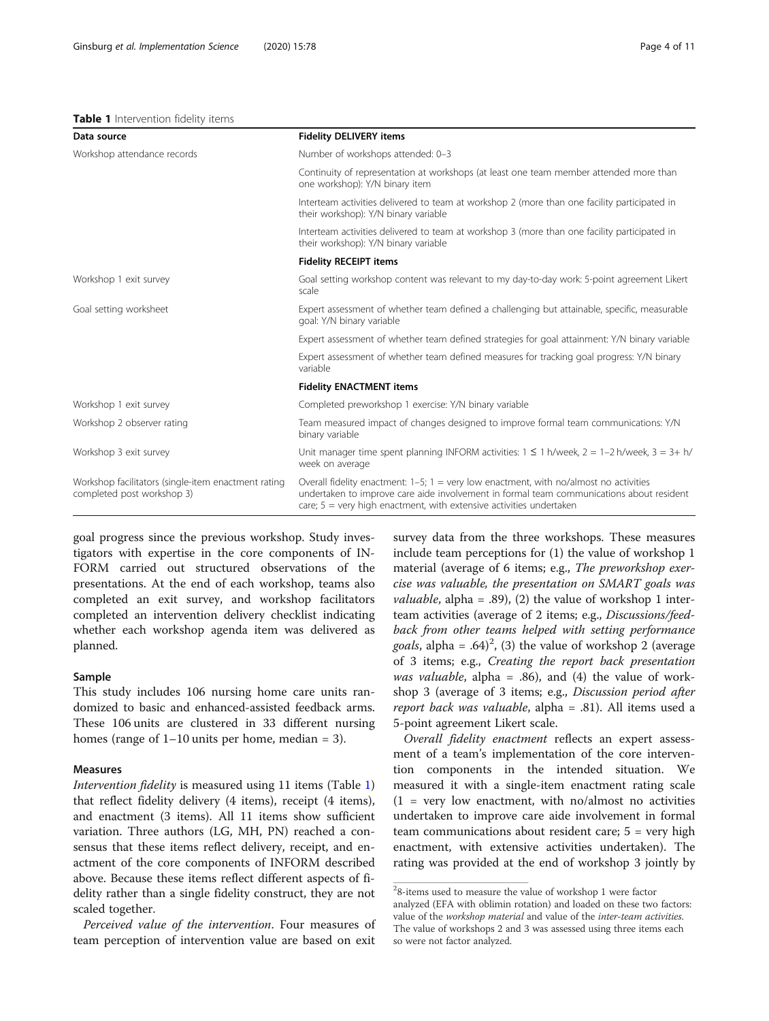## Table 1 Intervention fidelity items

| Data source                                                                       | <b>Fidelity DELIVERY items</b>                                                                                                                                                                                                                                                  |  |  |
|-----------------------------------------------------------------------------------|---------------------------------------------------------------------------------------------------------------------------------------------------------------------------------------------------------------------------------------------------------------------------------|--|--|
| Workshop attendance records                                                       | Number of workshops attended: 0-3                                                                                                                                                                                                                                               |  |  |
|                                                                                   | Continuity of representation at workshops (at least one team member attended more than<br>one workshop): Y/N binary item                                                                                                                                                        |  |  |
|                                                                                   | Interteam activities delivered to team at workshop 2 (more than one facility participated in<br>their workshop): Y/N binary variable                                                                                                                                            |  |  |
|                                                                                   | Interteam activities delivered to team at workshop 3 (more than one facility participated in<br>their workshop): Y/N binary variable                                                                                                                                            |  |  |
|                                                                                   | <b>Fidelity RECEIPT items</b>                                                                                                                                                                                                                                                   |  |  |
| Workshop 1 exit survey                                                            | Goal setting workshop content was relevant to my day-to-day work: 5-point agreement Likert<br>scale                                                                                                                                                                             |  |  |
| Goal setting worksheet                                                            | Expert assessment of whether team defined a challenging but attainable, specific, measurable<br>goal: Y/N binary variable                                                                                                                                                       |  |  |
|                                                                                   | Expert assessment of whether team defined strategies for goal attainment: Y/N binary variable                                                                                                                                                                                   |  |  |
|                                                                                   | Expert assessment of whether team defined measures for tracking goal progress: Y/N binary<br>variable                                                                                                                                                                           |  |  |
|                                                                                   | <b>Fidelity ENACTMENT items</b>                                                                                                                                                                                                                                                 |  |  |
| Workshop 1 exit survey                                                            | Completed preworkshop 1 exercise: Y/N binary variable                                                                                                                                                                                                                           |  |  |
| Workshop 2 observer rating                                                        | Team measured impact of changes designed to improve formal team communications: Y/N<br>binary variable                                                                                                                                                                          |  |  |
| Workshop 3 exit survey                                                            | Unit manager time spent planning INFORM activities: $1 \le 1$ h/week, $2 = 1-2$ h/week, $3 = 3 + h/2$<br>week on average                                                                                                                                                        |  |  |
| Workshop facilitators (single-item enactment rating<br>completed post workshop 3) | Overall fidelity enactment: $1-5$ ; $1 = \text{very low enactment}$ , with no/almost no activities<br>undertaken to improve care aide involvement in formal team communications about resident<br>care; $5 = \text{very high enactment}$ , with extensive activities undertaken |  |  |

goal progress since the previous workshop. Study investigators with expertise in the core components of IN-FORM carried out structured observations of the presentations. At the end of each workshop, teams also completed an exit survey, and workshop facilitators completed an intervention delivery checklist indicating whether each workshop agenda item was delivered as planned.

#### Sample

This study includes 106 nursing home care units randomized to basic and enhanced-assisted feedback arms. These 106 units are clustered in 33 different nursing homes (range of  $1-10$  units per home, median = 3).

#### Measures

Intervention fidelity is measured using 11 items (Table 1) that reflect fidelity delivery (4 items), receipt (4 items), and enactment (3 items). All 11 items show sufficient variation. Three authors (LG, MH, PN) reached a consensus that these items reflect delivery, receipt, and enactment of the core components of INFORM described above. Because these items reflect different aspects of fidelity rather than a single fidelity construct, they are not scaled together.

Perceived value of the intervention. Four measures of team perception of intervention value are based on exit

survey data from the three workshops. These measures include team perceptions for (1) the value of workshop 1 material (average of 6 items; e.g., The preworkshop exercise was valuable, the presentation on SMART goals was *valuable*, alpha = .89), (2) the value of workshop 1 interteam activities (average of 2 items; e.g., Discussions/feedback from other teams helped with setting performance *goals*, alpha = .64 $)^2$ , (3) the value of workshop 2 (average of 3 items; e.g., Creating the report back presentation *was valuable*, alpha = .86), and (4) the value of workshop 3 (average of 3 items; e.g., Discussion period after report back was valuable, alpha =  $.81$ ). All items used a 5-point agreement Likert scale.

Overall fidelity enactment reflects an expert assessment of a team's implementation of the core intervention components in the intended situation. We measured it with a single-item enactment rating scale  $(1 = \text{very low enactment}, \text{with no/almost no activities})$ undertaken to improve care aide involvement in formal team communications about resident care; 5 = very high enactment, with extensive activities undertaken). The rating was provided at the end of workshop 3 jointly by

 $28$ -items used to measure the value of workshop 1 were factor analyzed (EFA with oblimin rotation) and loaded on these two factors: value of the workshop material and value of the inter-team activities. The value of workshops 2 and 3 was assessed using three items each so were not factor analyzed.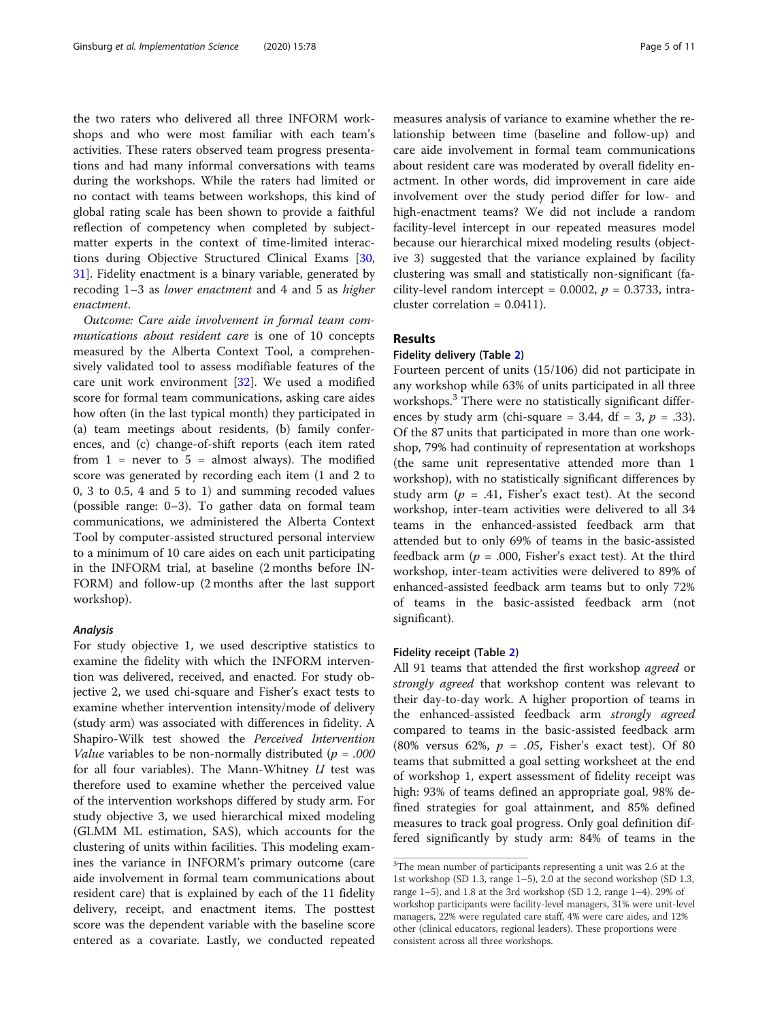the two raters who delivered all three INFORM workshops and who were most familiar with each team's activities. These raters observed team progress presentations and had many informal conversations with teams during the workshops. While the raters had limited or no contact with teams between workshops, this kind of global rating scale has been shown to provide a faithful reflection of competency when completed by subjectmatter experts in the context of time-limited interactions during Objective Structured Clinical Exams [[30](#page-10-0), [31\]](#page-10-0). Fidelity enactment is a binary variable, generated by recoding 1–3 as lower enactment and 4 and 5 as higher enactment.

Outcome: Care aide involvement in formal team communications about resident care is one of 10 concepts measured by the Alberta Context Tool, a comprehensively validated tool to assess modifiable features of the care unit work environment [[32\]](#page-10-0). We used a modified score for formal team communications, asking care aides how often (in the last typical month) they participated in (a) team meetings about residents, (b) family conferences, and (c) change-of-shift reports (each item rated from  $1$  = never to  $5$  = almost always). The modified score was generated by recording each item (1 and 2 to 0, 3 to 0.5, 4 and 5 to 1) and summing recoded values (possible range: 0–3). To gather data on formal team communications, we administered the Alberta Context Tool by computer-assisted structured personal interview to a minimum of 10 care aides on each unit participating in the INFORM trial, at baseline (2 months before IN-FORM) and follow-up (2 months after the last support workshop).

#### Analysis

For study objective 1, we used descriptive statistics to examine the fidelity with which the INFORM intervention was delivered, received, and enacted. For study objective 2, we used chi-square and Fisher's exact tests to examine whether intervention intensity/mode of delivery (study arm) was associated with differences in fidelity. A Shapiro-Wilk test showed the Perceived Intervention *Value* variables to be non-normally distributed ( $p = .000$ ) for all four variables). The Mann-Whitney  $U$  test was therefore used to examine whether the perceived value of the intervention workshops differed by study arm. For study objective 3, we used hierarchical mixed modeling (GLMM ML estimation, SAS), which accounts for the clustering of units within facilities. This modeling examines the variance in INFORM's primary outcome (care aide involvement in formal team communications about resident care) that is explained by each of the 11 fidelity delivery, receipt, and enactment items. The posttest score was the dependent variable with the baseline score entered as a covariate. Lastly, we conducted repeated

measures analysis of variance to examine whether the relationship between time (baseline and follow-up) and care aide involvement in formal team communications about resident care was moderated by overall fidelity enactment. In other words, did improvement in care aide involvement over the study period differ for low- and high-enactment teams? We did not include a random facility-level intercept in our repeated measures model because our hierarchical mixed modeling results (objective 3) suggested that the variance explained by facility clustering was small and statistically non-significant (facility-level random intercept =  $0.0002$ ,  $p = 0.3733$ , intracluster correlation = 0.0411).

#### Results

## Fidelity delivery (Table [2](#page-5-0))

Fourteen percent of units (15/106) did not participate in any workshop while 63% of units participated in all three workshops.<sup>3</sup> There were no statistically significant differences by study arm (chi-square = 3.44, df = 3,  $p = .33$ ). Of the 87 units that participated in more than one workshop, 79% had continuity of representation at workshops (the same unit representative attended more than 1 workshop), with no statistically significant differences by study arm ( $p = .41$ , Fisher's exact test). At the second workshop, inter-team activities were delivered to all 34 teams in the enhanced-assisted feedback arm that attended but to only 69% of teams in the basic-assisted feedback arm ( $p = .000$ , Fisher's exact test). At the third workshop, inter-team activities were delivered to 89% of enhanced-assisted feedback arm teams but to only 72% of teams in the basic-assisted feedback arm (not significant).

## Fidelity receipt (Table [2](#page-5-0))

All 91 teams that attended the first workshop *agreed* or strongly agreed that workshop content was relevant to their day-to-day work. A higher proportion of teams in the enhanced-assisted feedback arm strongly agreed compared to teams in the basic-assisted feedback arm (80% versus 62%,  $p = .05$ , Fisher's exact test). Of 80 teams that submitted a goal setting worksheet at the end of workshop 1, expert assessment of fidelity receipt was high: 93% of teams defined an appropriate goal, 98% defined strategies for goal attainment, and 85% defined measures to track goal progress. Only goal definition differed significantly by study arm: 84% of teams in the

<sup>&</sup>lt;sup>3</sup>The mean number of participants representing a unit was 2.6 at the 1st workshop (SD 1.3, range 1–5), 2.0 at the second workshop (SD 1.3, range 1–5), and 1.8 at the 3rd workshop (SD 1.2, range 1–4). 29% of workshop participants were facility-level managers, 31% were unit-level managers, 22% were regulated care staff, 4% were care aides, and 12% other (clinical educators, regional leaders). These proportions were consistent across all three workshops.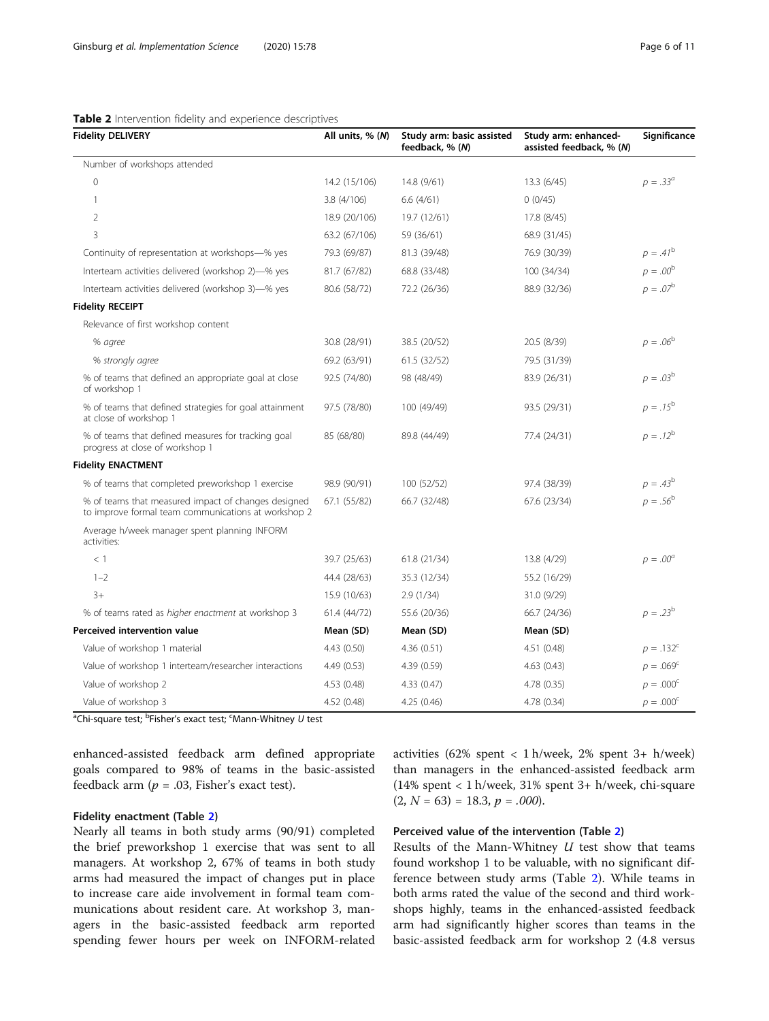#### <span id="page-5-0"></span>Table 2 Intervention fidelity and experience descriptives

| <b>Fidelity DELIVERY</b>                                                                                   | All units, $% (N)$ | Study arm: basic assisted<br>feedback, % (N) | Study arm: enhanced-<br>assisted feedback, % (N) | Significance       |  |
|------------------------------------------------------------------------------------------------------------|--------------------|----------------------------------------------|--------------------------------------------------|--------------------|--|
| Number of workshops attended                                                                               |                    |                                              |                                                  |                    |  |
| $\mathbf{0}$                                                                                               | 14.2 (15/106)      | 14.8 (9/61)                                  | 13.3 (6/45)                                      | $p = .33^{\circ}$  |  |
| $\mathbf{1}$                                                                                               | 3.8(4/106)         | 6.6(4/61)                                    | 0(0/45)                                          |                    |  |
| 2                                                                                                          | 18.9 (20/106)      | 19.7 (12/61)                                 | 17.8 (8/45)                                      |                    |  |
| 3                                                                                                          | 63.2 (67/106)      | 59 (36/61)                                   | 68.9 (31/45)                                     |                    |  |
| Continuity of representation at workshops-% yes                                                            | 79.3 (69/87)       | 81.3 (39/48)                                 | 76.9 (30/39)                                     | $p = .41^b$        |  |
| Interteam activities delivered (workshop 2)-% yes                                                          | 81.7 (67/82)       | 68.8 (33/48)                                 | 100 (34/34)                                      | $p = .00^{\rm b}$  |  |
| Interteam activities delivered (workshop 3)-% yes                                                          | 80.6 (58/72)       | 72.2 (26/36)                                 | $p = .07^b$<br>88.9 (32/36)                      |                    |  |
| <b>Fidelity RECEIPT</b>                                                                                    |                    |                                              |                                                  |                    |  |
| Relevance of first workshop content                                                                        |                    |                                              |                                                  |                    |  |
| % agree                                                                                                    | 30.8 (28/91)       | 38.5 (20/52)                                 | 20.5 (8/39)                                      | $p = .06^{\rm b}$  |  |
| % strongly agree                                                                                           | 69.2 (63/91)       | 61.5 (32/52)                                 | 79.5 (31/39)                                     |                    |  |
| % of teams that defined an appropriate goal at close<br>of workshop 1                                      | 92.5 (74/80)       | 98 (48/49)                                   | 83.9 (26/31)                                     | $p = .03^b$        |  |
| % of teams that defined strategies for goal attainment<br>at close of workshop 1                           | 97.5 (78/80)       | 100 (49/49)                                  | 93.5 (29/31)                                     | $p=.15^b$          |  |
| % of teams that defined measures for tracking goal<br>progress at close of workshop 1                      | 85 (68/80)         | 89.8 (44/49)                                 | 77.4 (24/31)                                     | $p = .12^b$        |  |
| <b>Fidelity ENACTMENT</b>                                                                                  |                    |                                              |                                                  |                    |  |
| % of teams that completed preworkshop 1 exercise                                                           | 98.9 (90/91)       | 100 (52/52)                                  | 97.4 (38/39)                                     | $p = .43^{b}$      |  |
| % of teams that measured impact of changes designed<br>to improve formal team communications at workshop 2 | 67.1 (55/82)       | 66.7 (32/48)                                 | 67.6 (23/34)                                     | $p = .56^{\rm b}$  |  |
| Average h/week manager spent planning INFORM<br>activities:                                                |                    |                                              |                                                  |                    |  |
| $<$ 1                                                                                                      | 39.7 (25/63)       | 61.8 (21/34)                                 | 13.8 (4/29)                                      | $p = .00^a$        |  |
| $1 - 2$                                                                                                    | 44.4 (28/63)       | 35.3 (12/34)                                 | 55.2 (16/29)                                     |                    |  |
| $3+$                                                                                                       | 15.9 (10/63)       | 2.9(1/34)                                    | 31.0 (9/29)                                      |                    |  |
| % of teams rated as higher enactment at workshop 3                                                         | 61.4 (44/72)       | 55.6 (20/36)                                 | 66.7 (24/36)                                     | $p = .23^{\rm b}$  |  |
| Perceived intervention value                                                                               | Mean (SD)          | Mean (SD)                                    | Mean (SD)                                        |                    |  |
| Value of workshop 1 material                                                                               | 4.43 (0.50)        | 4.36(0.51)                                   | 4.51 (0.48)                                      | $p=.132^{\circ}$   |  |
| Value of workshop 1 interteam/researcher interactions                                                      | 4.49 (0.53)        | 4.39 (0.59)                                  | 4.63(0.43)                                       | $p = .069^{\circ}$ |  |
| Value of workshop 2                                                                                        | 4.53 (0.48)        | 4.33 (0.47)                                  | 4.78 (0.35)                                      | $p = .000^{\circ}$ |  |
| Value of workshop 3                                                                                        | 4.52 (0.48)        | 4.25(0.46)                                   | 4.78 (0.34)                                      | $p = .000^{\circ}$ |  |

<sup>a</sup>Chi-square test; <sup>b</sup>Fisher's exact test; <sup>c</sup>Mann-Whitney U test

enhanced-assisted feedback arm defined appropriate goals compared to 98% of teams in the basic-assisted feedback arm ( $p = .03$ , Fisher's exact test).

## Fidelity enactment (Table 2)

Nearly all teams in both study arms (90/91) completed the brief preworkshop 1 exercise that was sent to all managers. At workshop 2, 67% of teams in both study arms had measured the impact of changes put in place to increase care aide involvement in formal team communications about resident care. At workshop 3, managers in the basic-assisted feedback arm reported spending fewer hours per week on INFORM-related activities (62% spent < 1 h/week, 2% spent 3+ h/week) than managers in the enhanced-assisted feedback arm (14% spent < 1 h/week, 31% spent 3+ h/week, chi-square  $(2, N = 63) = 18.3, p = .000$ .

## Perceived value of the intervention (Table 2)

Results of the Mann-Whitney  $U$  test show that teams found workshop 1 to be valuable, with no significant difference between study arms (Table 2). While teams in both arms rated the value of the second and third workshops highly, teams in the enhanced-assisted feedback arm had significantly higher scores than teams in the basic-assisted feedback arm for workshop 2 (4.8 versus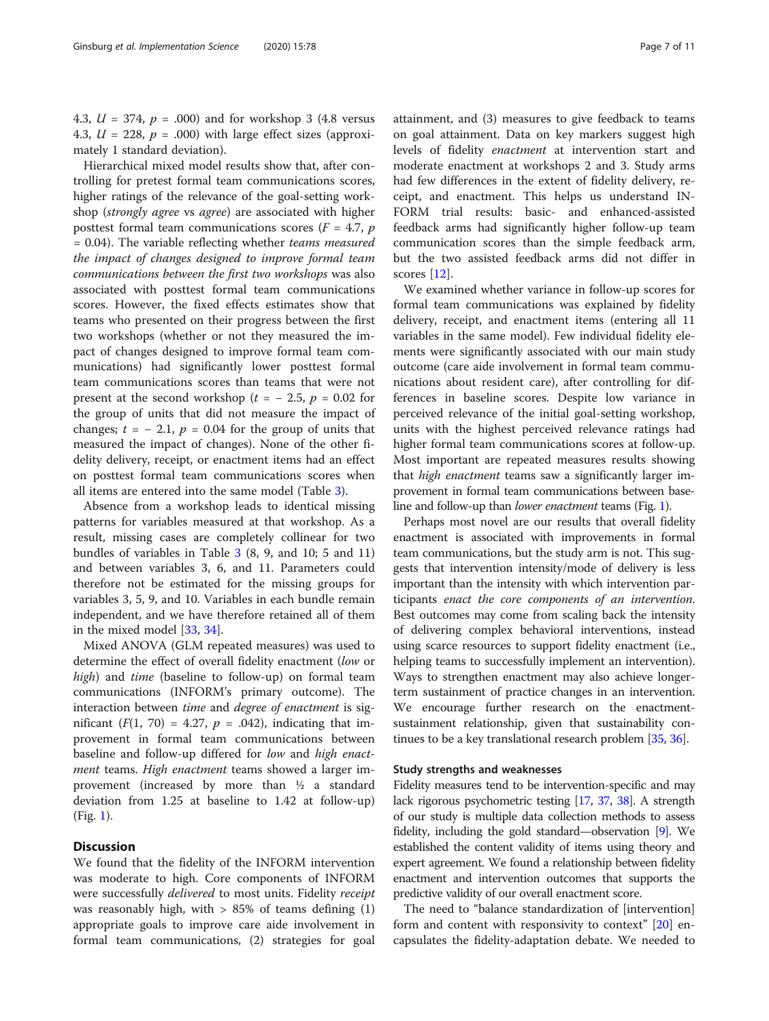4.3,  $U = 374$ ,  $p = .000$ ) and for workshop 3 (4.8 versus 4.3,  $U = 228$ ,  $p = .000$ ) with large effect sizes (approximately 1 standard deviation).

Hierarchical mixed model results show that, after controlling for pretest formal team communications scores, higher ratings of the relevance of the goal-setting workshop (strongly agree vs agree) are associated with higher posttest formal team communications scores ( $F = 4.7$ , p = 0.04). The variable reflecting whether teams measured the impact of changes designed to improve formal team communications between the first two workshops was also associated with posttest formal team communications scores. However, the fixed effects estimates show that teams who presented on their progress between the first two workshops (whether or not they measured the impact of changes designed to improve formal team communications) had significantly lower posttest formal team communications scores than teams that were not present at the second workshop ( $t = -2.5$ ,  $p = 0.02$  for the group of units that did not measure the impact of changes;  $t = -2.1$ ,  $p = 0.04$  for the group of units that measured the impact of changes). None of the other fidelity delivery, receipt, or enactment items had an effect on posttest formal team communications scores when all items are entered into the same model (Table [3](#page-7-0)).

Absence from a workshop leads to identical missing patterns for variables measured at that workshop. As a result, missing cases are completely collinear for two bundles of variables in Table [3](#page-7-0) (8, 9, and 10; 5 and 11) and between variables 3, 6, and 11. Parameters could therefore not be estimated for the missing groups for variables 3, 5, 9, and 10. Variables in each bundle remain independent, and we have therefore retained all of them in the mixed model [\[33,](#page-10-0) [34\]](#page-10-0).

Mixed ANOVA (GLM repeated measures) was used to determine the effect of overall fidelity enactment (low or high) and time (baseline to follow-up) on formal team communications (INFORM's primary outcome). The interaction between time and degree of enactment is significant  $(F(1, 70) = 4.27, p = .042)$ , indicating that improvement in formal team communications between baseline and follow-up differed for low and high enactment teams. High enactment teams showed a larger improvement (increased by more than ½ a standard deviation from 1.25 at baseline to 1.42 at follow-up) (Fig. [1](#page-8-0)).

## **Discussion**

We found that the fidelity of the INFORM intervention was moderate to high. Core components of INFORM were successfully *delivered* to most units. Fidelity *receipt* was reasonably high, with  $> 85\%$  of teams defining (1) appropriate goals to improve care aide involvement in formal team communications, (2) strategies for goal attainment, and (3) measures to give feedback to teams on goal attainment. Data on key markers suggest high levels of fidelity enactment at intervention start and moderate enactment at workshops 2 and 3. Study arms had few differences in the extent of fidelity delivery, receipt, and enactment. This helps us understand IN-FORM trial results: basic- and enhanced-assisted feedback arms had significantly higher follow-up team communication scores than the simple feedback arm, but the two assisted feedback arms did not differ in scores [[12\]](#page-9-0).

We examined whether variance in follow-up scores for formal team communications was explained by fidelity delivery, receipt, and enactment items (entering all 11 variables in the same model). Few individual fidelity elements were significantly associated with our main study outcome (care aide involvement in formal team communications about resident care), after controlling for differences in baseline scores. Despite low variance in perceived relevance of the initial goal-setting workshop, units with the highest perceived relevance ratings had higher formal team communications scores at follow-up. Most important are repeated measures results showing that high enactment teams saw a significantly larger improvement in formal team communications between baseline and follow-up than lower enactment teams (Fig. [1](#page-8-0)).

Perhaps most novel are our results that overall fidelity enactment is associated with improvements in formal team communications, but the study arm is not. This suggests that intervention intensity/mode of delivery is less important than the intensity with which intervention participants enact the core components of an intervention. Best outcomes may come from scaling back the intensity of delivering complex behavioral interventions, instead using scarce resources to support fidelity enactment (i.e., helping teams to successfully implement an intervention). Ways to strengthen enactment may also achieve longerterm sustainment of practice changes in an intervention. We encourage further research on the enactmentsustainment relationship, given that sustainability continues to be a key translational research problem [[35](#page-10-0), [36\]](#page-10-0).

## Study strengths and weaknesses

Fidelity measures tend to be intervention-specific and may lack rigorous psychometric testing [\[17,](#page-9-0) [37](#page-10-0), [38](#page-10-0)]. A strength of our study is multiple data collection methods to assess fidelity, including the gold standard—observation [[9](#page-9-0)]. We established the content validity of items using theory and expert agreement. We found a relationship between fidelity enactment and intervention outcomes that supports the predictive validity of our overall enactment score.

The need to "balance standardization of [intervention] form and content with responsivity to context"  $[20]$  $[20]$  encapsulates the fidelity-adaptation debate. We needed to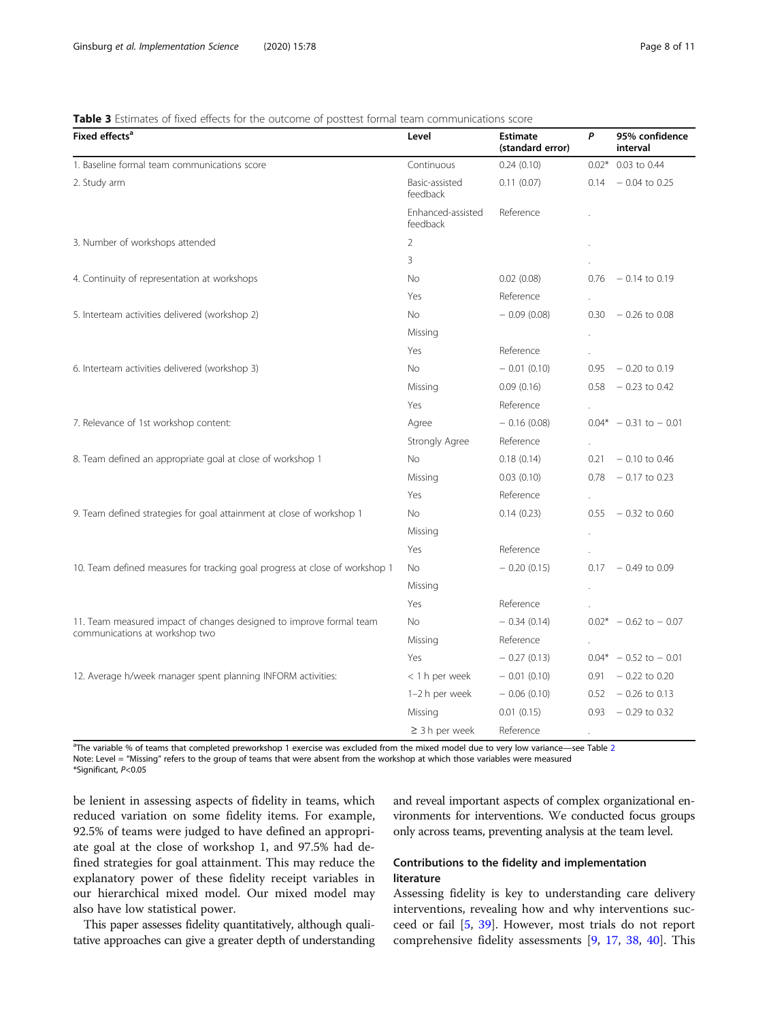## <span id="page-7-0"></span>Table 3 Estimates of fixed effects for the outcome of posttest formal team communications score

| Fixed effects <sup>a</sup>                                                  | Level                         | <b>Estimate</b><br>(standard error) | P                   | 95% confidence<br>interval  |
|-----------------------------------------------------------------------------|-------------------------------|-------------------------------------|---------------------|-----------------------------|
| 1. Baseline formal team communications score                                | Continuous                    | 0.24(0.10)                          |                     | $0.02*$ 0.03 to 0.44        |
| 2. Study arm                                                                | Basic-assisted<br>feedback    | 0.11(0.07)                          |                     | $0.14 - 0.04$ to 0.25       |
|                                                                             | Enhanced-assisted<br>feedback | Reference                           |                     |                             |
| 3. Number of workshops attended                                             | $\overline{2}$                |                                     |                     |                             |
|                                                                             | 3                             |                                     |                     |                             |
| 4. Continuity of representation at workshops                                | No                            | 0.02(0.08)                          |                     | $0.76 - 0.14$ to 0.19       |
|                                                                             | Yes                           | Reference                           |                     |                             |
| 5. Interteam activities delivered (workshop 2)                              | No                            | $-0.09(0.08)$                       |                     | $0.30 - 0.26$ to 0.08       |
|                                                                             | Missing                       |                                     |                     |                             |
|                                                                             | Yes                           | Reference                           |                     |                             |
| 6. Interteam activities delivered (workshop 3)                              | No                            | $-0.01(0.10)$                       |                     | $0.95 - 0.20$ to 0.19       |
|                                                                             | Missing                       | 0.09(0.16)                          |                     | $0.58 - 0.23$ to 0.42       |
|                                                                             | Yes                           | Reference                           |                     |                             |
| 7. Relevance of 1st workshop content:                                       | Agree                         | $-0.16(0.08)$                       |                     | $0.04* - 0.31$ to $- 0.01$  |
|                                                                             | Strongly Agree                | Reference                           |                     |                             |
| 8. Team defined an appropriate goal at close of workshop 1                  | No                            | 0.18(0.14)                          |                     | $0.21 - 0.10$ to 0.46       |
|                                                                             | Missing                       | 0.03(0.10)                          |                     | $0.78 - 0.17$ to 0.23       |
|                                                                             | Yes                           | Reference                           |                     |                             |
| 9. Team defined strategies for goal attainment at close of workshop 1       | <b>No</b>                     | 0.14(0.23)                          |                     | $0.55 - 0.32$ to 0.60       |
|                                                                             | Missing                       |                                     |                     |                             |
|                                                                             | Yes                           | Reference                           |                     |                             |
| 10. Team defined measures for tracking goal progress at close of workshop 1 | No                            | $-0.20(0.15)$                       |                     | $0.17 - 0.49$ to 0.09       |
|                                                                             | Missing                       |                                     |                     |                             |
|                                                                             | Yes                           | Reference                           |                     |                             |
| 11. Team measured impact of changes designed to improve formal team         | No                            | $-0.34(0.14)$                       |                     | $0.02^* - 0.62$ to $- 0.07$ |
| communications at workshop two                                              | Missing                       | Reference                           |                     |                             |
|                                                                             | Yes                           | $-0.27(0.13)$                       |                     | $0.04* - 0.52$ to $- 0.01$  |
| 12. Average h/week manager spent planning INFORM activities:                | < 1 h per week                | $-0.01(0.10)$                       |                     | $0.91 - 0.22$ to 0.20       |
|                                                                             | 1-2 h per week                | $-0.06(0.10)$                       |                     | $0.52 - 0.26$ to 0.13       |
|                                                                             | Missing                       | 0.01(0.15)                          |                     | $0.93 - 0.29$ to 0.32       |
|                                                                             | $\geq$ 3 h per week           | Reference                           | $\mathcal{L}^{\pm}$ |                             |

a The variable % of teams that completed preworkshop 1 exercise was excluded from the mixed model due to very low variance—see Table [2](#page-5-0) Note: Level = "Missing" refers to the group of teams that were absent from the workshop at which those variables were measured \*Significant, P<0.05

be lenient in assessing aspects of fidelity in teams, which reduced variation on some fidelity items. For example, 92.5% of teams were judged to have defined an appropriate goal at the close of workshop 1, and 97.5% had defined strategies for goal attainment. This may reduce the explanatory power of these fidelity receipt variables in our hierarchical mixed model. Our mixed model may also have low statistical power.

This paper assesses fidelity quantitatively, although qualitative approaches can give a greater depth of understanding and reveal important aspects of complex organizational environments for interventions. We conducted focus groups only across teams, preventing analysis at the team level.

## Contributions to the fidelity and implementation literature

Assessing fidelity is key to understanding care delivery interventions, revealing how and why interventions succeed or fail [[5,](#page-9-0) [39\]](#page-10-0). However, most trials do not report comprehensive fidelity assessments [\[9,](#page-9-0) [17,](#page-9-0) [38,](#page-10-0) [40\]](#page-10-0). This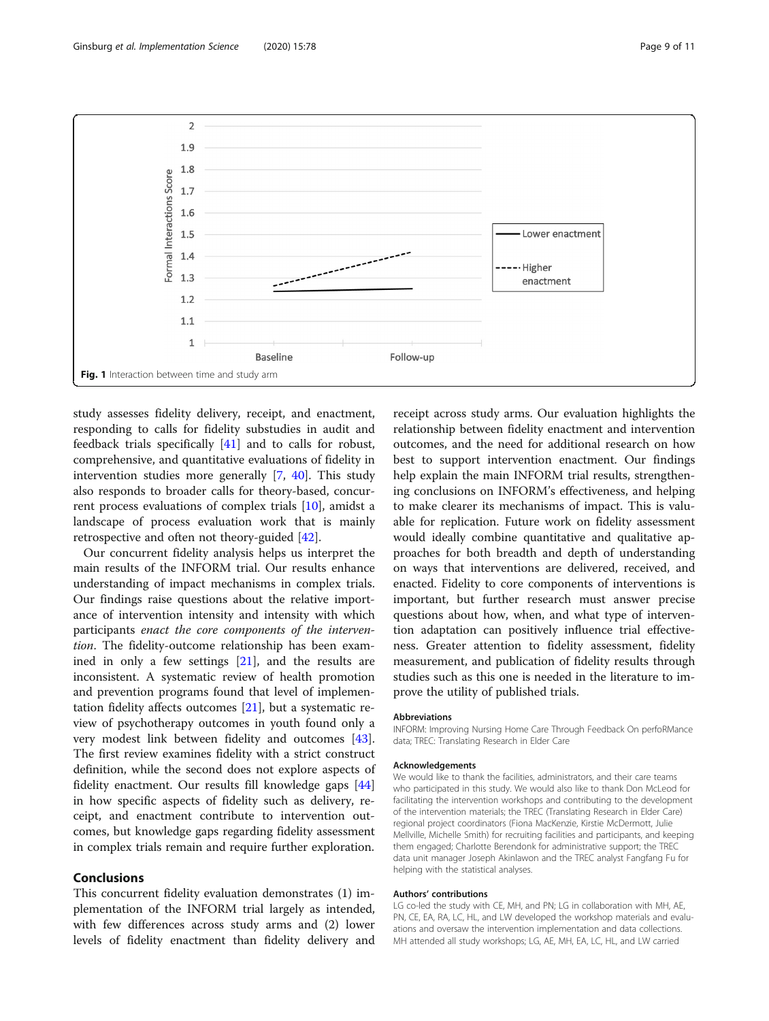<span id="page-8-0"></span>

study assesses fidelity delivery, receipt, and enactment, responding to calls for fidelity substudies in audit and feedback trials specifically [[41](#page-10-0)] and to calls for robust, comprehensive, and quantitative evaluations of fidelity in intervention studies more generally [\[7](#page-9-0), [40\]](#page-10-0). This study also responds to broader calls for theory-based, concurrent process evaluations of complex trials [[10](#page-9-0)], amidst a landscape of process evaluation work that is mainly retrospective and often not theory-guided [[42\]](#page-10-0).

Our concurrent fidelity analysis helps us interpret the main results of the INFORM trial. Our results enhance understanding of impact mechanisms in complex trials. Our findings raise questions about the relative importance of intervention intensity and intensity with which participants enact the core components of the intervention. The fidelity-outcome relationship has been examined in only a few settings [[21\]](#page-9-0), and the results are inconsistent. A systematic review of health promotion and prevention programs found that level of implementation fidelity affects outcomes [\[21\]](#page-9-0), but a systematic review of psychotherapy outcomes in youth found only a very modest link between fidelity and outcomes [\[43](#page-10-0)]. The first review examines fidelity with a strict construct definition, while the second does not explore aspects of fidelity enactment. Our results fill knowledge gaps [[44](#page-10-0)] in how specific aspects of fidelity such as delivery, receipt, and enactment contribute to intervention outcomes, but knowledge gaps regarding fidelity assessment in complex trials remain and require further exploration.

## Conclusions

This concurrent fidelity evaluation demonstrates (1) implementation of the INFORM trial largely as intended, with few differences across study arms and (2) lower levels of fidelity enactment than fidelity delivery and

receipt across study arms. Our evaluation highlights the relationship between fidelity enactment and intervention outcomes, and the need for additional research on how best to support intervention enactment. Our findings help explain the main INFORM trial results, strengthening conclusions on INFORM's effectiveness, and helping to make clearer its mechanisms of impact. This is valuable for replication. Future work on fidelity assessment would ideally combine quantitative and qualitative approaches for both breadth and depth of understanding on ways that interventions are delivered, received, and enacted. Fidelity to core components of interventions is important, but further research must answer precise questions about how, when, and what type of intervention adaptation can positively influence trial effectiveness. Greater attention to fidelity assessment, fidelity measurement, and publication of fidelity results through studies such as this one is needed in the literature to improve the utility of published trials.

#### Abbreviations

INFORM: Improving Nursing Home Care Through Feedback On perfoRMance data; TREC: Translating Research in Elder Care

#### Acknowledgements

We would like to thank the facilities, administrators, and their care teams who participated in this study. We would also like to thank Don McLeod for facilitating the intervention workshops and contributing to the development of the intervention materials; the TREC (Translating Research in Elder Care) regional project coordinators (Fiona MacKenzie, Kirstie McDermott, Julie Mellville, Michelle Smith) for recruiting facilities and participants, and keeping them engaged; Charlotte Berendonk for administrative support; the TREC data unit manager Joseph Akinlawon and the TREC analyst Fangfang Fu for helping with the statistical analyses.

#### Authors' contributions

LG co-led the study with CE, MH, and PN; LG in collaboration with MH, AE, PN, CE, EA, RA, LC, HL, and LW developed the workshop materials and evaluations and oversaw the intervention implementation and data collections. MH attended all study workshops; LG, AE, MH, EA, LC, HL, and LW carried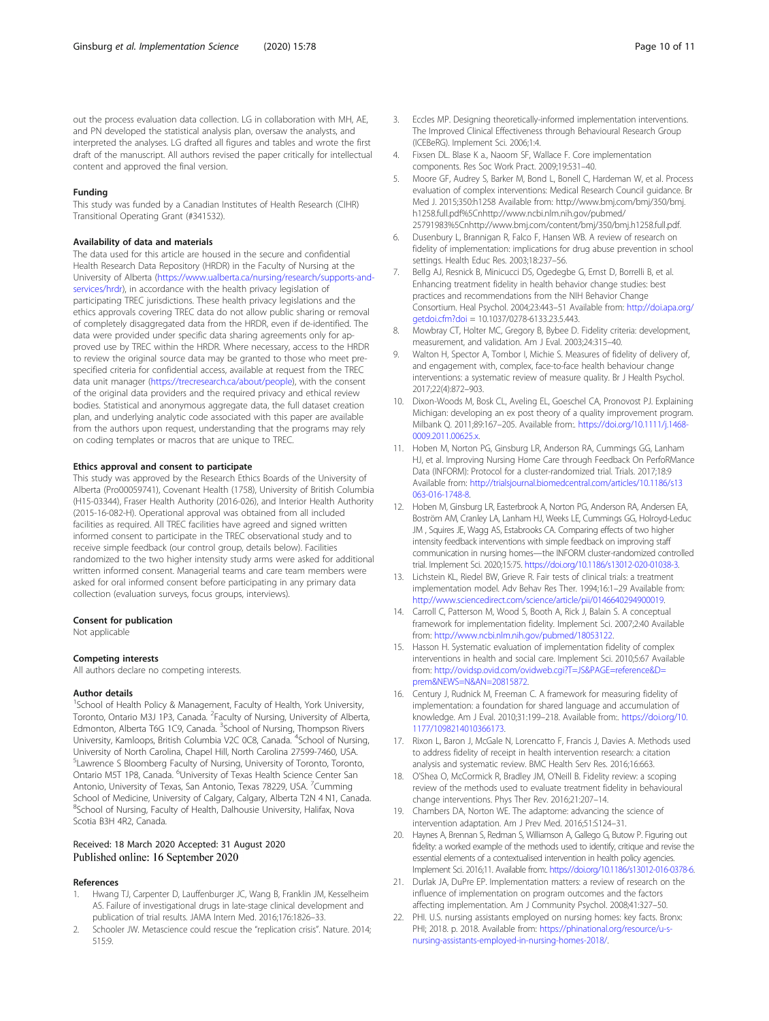<span id="page-9-0"></span>out the process evaluation data collection. LG in collaboration with MH, AE, and PN developed the statistical analysis plan, oversaw the analysts, and interpreted the analyses. LG drafted all figures and tables and wrote the first draft of the manuscript. All authors revised the paper critically for intellectual content and approved the final version.

#### Funding

This study was funded by a Canadian Institutes of Health Research (CIHR) Transitional Operating Grant (#341532).

#### Availability of data and materials

The data used for this article are housed in the secure and confidential Health Research Data Repository (HRDR) in the Faculty of Nursing at the University of Alberta [\(https://www.ualberta.ca/nursing/research/supports-and](https://www.ualberta.ca/nursing/research/supports-and-services/hrdr)[services/hrdr\)](https://www.ualberta.ca/nursing/research/supports-and-services/hrdr), in accordance with the health privacy legislation of participating TREC jurisdictions. These health privacy legislations and the ethics approvals covering TREC data do not allow public sharing or removal of completely disaggregated data from the HRDR, even if de-identified. The data were provided under specific data sharing agreements only for approved use by TREC within the HRDR. Where necessary, access to the HRDR to review the original source data may be granted to those who meet prespecified criteria for confidential access, available at request from the TREC data unit manager (<https://trecresearch.ca/about/people>), with the consent of the original data providers and the required privacy and ethical review bodies. Statistical and anonymous aggregate data, the full dataset creation plan, and underlying analytic code associated with this paper are available from the authors upon request, understanding that the programs may rely on coding templates or macros that are unique to TREC.

#### Ethics approval and consent to participate

This study was approved by the Research Ethics Boards of the University of Alberta (Pro00059741), Covenant Health (1758), University of British Columbia (H15-03344), Fraser Health Authority (2016-026), and Interior Health Authority (2015-16-082-H). Operational approval was obtained from all included facilities as required. All TREC facilities have agreed and signed written informed consent to participate in the TREC observational study and to receive simple feedback (our control group, details below). Facilities randomized to the two higher intensity study arms were asked for additional written informed consent. Managerial teams and care team members were asked for oral informed consent before participating in any primary data collection (evaluation surveys, focus groups, interviews).

#### Consent for publication

Not applicable

#### Competing interests

All authors declare no competing interests.

#### Author details

<sup>1</sup>School of Health Policy & Management, Faculty of Health, York University, Toronto, Ontario M3J 1P3, Canada. <sup>2</sup> Faculty of Nursing, University of Alberta, Edmonton, Alberta T6G 1C9, Canada. <sup>3</sup>School of Nursing, Thompson Rivers University, Kamloops, British Columbia V2C 0C8, Canada. <sup>4</sup>School of Nursing, University of North Carolina, Chapel Hill, North Carolina 27599-7460, USA. 5 Lawrence S Bloomberg Faculty of Nursing, University of Toronto, Toronto, Ontario M5T 1P8, Canada. <sup>6</sup>University of Texas Health Science Center San Antonio, University of Texas, San Antonio, Texas 78229, USA. <sup>7</sup>Cumming School of Medicine, University of Calgary, Calgary, Alberta T2N 4 N1, Canada. <sup>8</sup>School of Nursing, Faculty of Health, Dalhousie University, Halifax, Nova Scotia B3H 4R2, Canada.

#### Received: 18 March 2020 Accepted: 31 August 2020 Published online: 16 September 2020

#### References

- Hwang TJ, Carpenter D, Lauffenburger JC, Wang B, Franklin JM, Kesselheim AS. Failure of investigational drugs in late-stage clinical development and publication of trial results. JAMA Intern Med. 2016;176:1826–33.
- 2. Schooler JW. Metascience could rescue the "replication crisis". Nature. 2014; 515:9.
- 3. Eccles MP. Designing theoretically-informed implementation interventions. The Improved Clinical Effectiveness through Behavioural Research Group (ICEBeRG). Implement Sci. 2006;1:4.
- 4. Fixsen DL. Blase K a., Naoom SF, Wallace F. Core implementation components. Res Soc Work Pract. 2009;19:531–40.
- 5. Moore GF, Audrey S, Barker M, Bond L, Bonell C, Hardeman W, et al. Process evaluation of complex interventions: Medical Research Council guidance. Br Med J. 2015;350:h1258 Available from: http://www.bmj.com/bmj/350/bmj. h1258.full.pdf%5Cnhttp://www.ncbi.nlm.nih.gov/pubmed/ 25791983%5Cnhttp://www.bmj.com/content/bmj/350/bmj.h1258.full.pdf.
- 6. Dusenbury L, Brannigan R, Falco F, Hansen WB. A review of research on fidelity of implementation: implications for drug abuse prevention in school settings. Health Educ Res. 2003;18:237–56.
- 7. Bellg AJ, Resnick B, Minicucci DS, Ogedegbe G, Ernst D, Borrelli B, et al. Enhancing treatment fidelity in health behavior change studies: best practices and recommendations from the NIH Behavior Change Consortium. Heal Psychol. 2004;23:443–51 Available from: [http://doi.apa.org/](http://doi.apa.org/getdoi.cfm?doi) [getdoi.cfm?doi](http://doi.apa.org/getdoi.cfm?doi) = 10.1037/0278-6133.23.5.443.
- 8. Mowbray CT, Holter MC, Gregory B, Bybee D. Fidelity criteria: development, measurement, and validation. Am J Eval. 2003;24:315–40.
- 9. Walton H, Spector A, Tombor I, Michie S. Measures of fidelity of delivery of, and engagement with, complex, face-to-face health behaviour change interventions: a systematic review of measure quality. Br J Health Psychol. 2017;22(4):872–903.
- 10. Dixon-Woods M, Bosk CL, Aveling EL, Goeschel CA, Pronovost PJ. Explaining Michigan: developing an ex post theory of a quality improvement program. Milbank Q. 2011;89:167–205. Available from:. [https://doi.org/10.1111/j.1468-](https://doi.org/10.1111/j.1468-0009.2011.00625.x) [0009.2011.00625.x.](https://doi.org/10.1111/j.1468-0009.2011.00625.x)
- 11. Hoben M, Norton PG, Ginsburg LR, Anderson RA, Cummings GG, Lanham HJ, et al. Improving Nursing Home Care through Feedback On PerfoRMance Data (INFORM): Protocol for a cluster-randomized trial. Trials. 2017;18:9 Available from: [http://trialsjournal.biomedcentral.com/articles/10.1186/s13](http://trialsjournal.biomedcentral.com/articles/10.1186/s13063-016-1748-8) [063-016-1748-8.](http://trialsjournal.biomedcentral.com/articles/10.1186/s13063-016-1748-8)
- 12. Hoben M, Ginsburg LR, Easterbrook A, Norton PG, Anderson RA, Andersen EA, Boström AM, Cranley LA, Lanham HJ, Weeks LE, Cummings GG, Holroyd-Leduc JM , Squires JE, Wagg AS, Estabrooks CA. Comparing effects of two higher intensity feedback interventions with simple feedback on improving staff communication in nursing homes—the INFORM cluster-randomized controlled trial. Implement Sci. 2020;15:75. <https://doi.org/10.1186/s13012-020-01038-3>.
- 13. Lichstein KL, Riedel BW, Grieve R. Fair tests of clinical trials: a treatment implementation model. Adv Behav Res Ther. 1994;16:1–29 Available from: <http://www.sciencedirect.com/science/article/pii/0146640294900019>.
- 14. Carroll C, Patterson M, Wood S, Booth A, Rick J, Balain S. A conceptual framework for implementation fidelity. Implement Sci. 2007;2:40 Available from: [http://www.ncbi.nlm.nih.gov/pubmed/18053122.](http://www.ncbi.nlm.nih.gov/pubmed/18053122)
- 15. Hasson H. Systematic evaluation of implementation fidelity of complex interventions in health and social care. Implement Sci. 2010;5:67 Available from: [http://ovidsp.ovid.com/ovidweb.cgi?T=JS&PAGE=reference&D=](http://ovidsp.ovid.com/ovidweb.cgi?T=JS&PAGE=reference&D=prem&NEWS=N&AN=20815872) [prem&NEWS=N&AN=20815872.](http://ovidsp.ovid.com/ovidweb.cgi?T=JS&PAGE=reference&D=prem&NEWS=N&AN=20815872)
- 16. Century J, Rudnick M, Freeman C. A framework for measuring fidelity of implementation: a foundation for shared language and accumulation of knowledge. Am J Eval. 2010;31:199–218. Available from:. [https://doi.org/10.](https://doi.org/10.1177/1098214010366173) [1177/1098214010366173](https://doi.org/10.1177/1098214010366173).
- 17. Rixon L, Baron J, McGale N, Lorencatto F, Francis J, Davies A. Methods used to address fidelity of receipt in health intervention research: a citation analysis and systematic review. BMC Health Serv Res. 2016;16:663.
- 18. O'Shea O, McCormick R, Bradley JM, O'Neill B. Fidelity review: a scoping review of the methods used to evaluate treatment fidelity in behavioural change interventions. Phys Ther Rev. 2016;21:207–14.
- 19. Chambers DA, Norton WE. The adaptome: advancing the science of intervention adaptation. Am J Prev Med. 2016;51:S124–31.
- 20. Haynes A, Brennan S, Redman S, Williamson A, Gallego G, Butow P. Figuring out fidelity: a worked example of the methods used to identify, critique and revise the essential elements of a contextualised intervention in health policy agencies. Implement Sci. 2016;11. Available from:. <https://doi.org/10.1186/s13012-016-0378-6>.
- 21. Durlak JA, DuPre EP. Implementation matters: a review of research on the influence of implementation on program outcomes and the factors affecting implementation. Am J Community Psychol. 2008;41:327–50.
- 22. PHI. U.S. nursing assistants employed on nursing homes: key facts. Bronx: PHI; 2018. p. 2018. Available from: [https://phinational.org/resource/u-s](https://phinational.org/resource/u-s-nursing-assistants-employed-in-nursing-homes-2018/)[nursing-assistants-employed-in-nursing-homes-2018/.](https://phinational.org/resource/u-s-nursing-assistants-employed-in-nursing-homes-2018/)